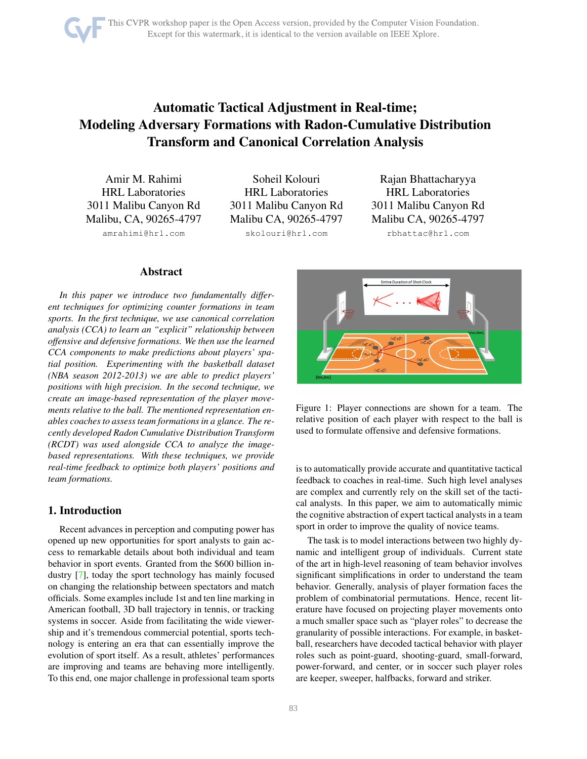# <span id="page-0-1"></span>Automatic Tactical Adjustment in Real-time; Modeling Adversary Formations with Radon-Cumulative Distribution Transform and Canonical Correlation Analysis

Amir M. Rahimi HRL Laboratories 3011 Malibu Canyon Rd Malibu, CA, 90265-4797

amrahimi@hrl.com

Soheil Kolouri HRL Laboratories 3011 Malibu Canyon Rd Malibu CA, 90265-4797

skolouri@hrl.com

Rajan Bhattacharyya HRL Laboratories 3011 Malibu Canyon Rd Malibu CA, 90265-4797

rbhattac@hrl.com

# **Abstract**

*In this paper we introduce two fundamentally different techniques for optimizing counter formations in team sports. In the first technique, we use canonical correlation analysis (CCA) to learn an "explicit" relationship between offensive and defensive formations. We then use the learned CCA components to make predictions about players' spatial position. Experimenting with the basketball dataset (NBA season 2012-2013) we are able to predict players' positions with high precision. In the second technique, we create an image-based representation of the player movements relative to the ball. The mentioned representation enables coaches to assess team formations in a glance. The recently developed Radon Cumulative Distribution Transform (RCDT) was used alongside CCA to analyze the imagebased representations. With these techniques, we provide real-time feedback to optimize both players' positions and team formations.*

# 1. Introduction

Recent advances in perception and computing power has opened up new opportunities for sport analysts to gain access to remarkable details about both individual and team behavior in sport events. Granted from the \$600 billion industry [\[7\]](#page-7-0), today the sport technology has mainly focused on changing the relationship between spectators and match officials. Some examples include 1st and ten line marking in American football, 3D ball trajectory in tennis, or tracking systems in soccer. Aside from facilitating the wide viewership and it's tremendous commercial potential, sports technology is entering an era that can essentially improve the evolution of sport itself. As a result, athletes' performances are improving and teams are behaving more intelligently. To this end, one major challenge in professional team sports

<span id="page-0-0"></span>

Figure 1: Player connections are shown for a team. The relative position of each player with respect to the ball is used to formulate offensive and defensive formations.

is to automatically provide accurate and quantitative tactical feedback to coaches in real-time. Such high level analyses are complex and currently rely on the skill set of the tactical analysts. In this paper, we aim to automatically mimic the cognitive abstraction of expert tactical analysts in a team sport in order to improve the quality of novice teams.

The task is to model interactions between two highly dynamic and intelligent group of individuals. Current state of the art in high-level reasoning of team behavior involves significant simplifications in order to understand the team behavior. Generally, analysis of player formation faces the problem of combinatorial permutations. Hence, recent literature have focused on projecting player movements onto a much smaller space such as "player roles" to decrease the granularity of possible interactions. For example, in basketball, researchers have decoded tactical behavior with player roles such as point-guard, shooting-guard, small-forward, power-forward, and center, or in soccer such player roles are keeper, sweeper, halfbacks, forward and striker.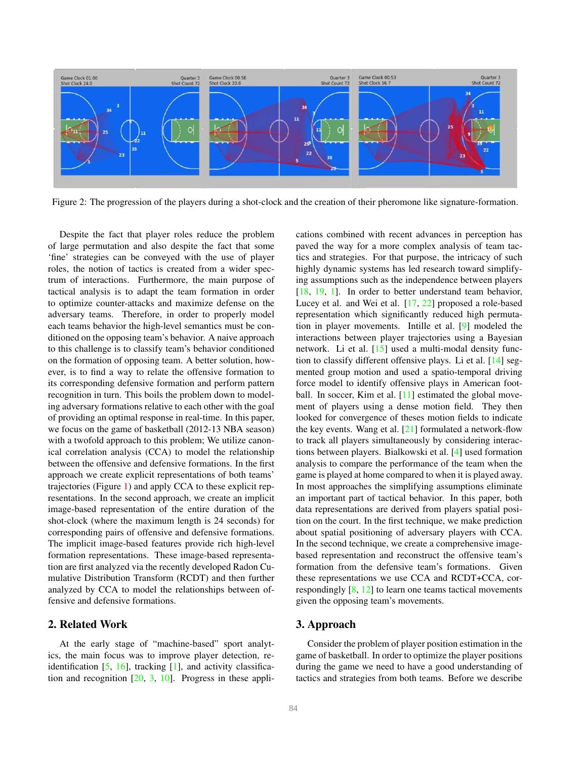<span id="page-1-1"></span><span id="page-1-0"></span>

Figure 2: The progression of the players during a shot-clock and the creation of their pheromone like signature-formation.

Despite the fact that player roles reduce the problem of large permutation and also despite the fact that some 'fine' strategies can be conveyed with the use of player roles, the notion of tactics is created from a wider spectrum of interactions. Furthermore, the main purpose of tactical analysis is to adapt the team formation in order to optimize counter-attacks and maximize defense on the adversary teams. Therefore, in order to properly model each teams behavior the high-level semantics must be conditioned on the opposing team's behavior. A naive approach to this challenge is to classify team's behavior conditioned on the formation of opposing team. A better solution, however, is to find a way to relate the offensive formation to its corresponding defensive formation and perform pattern recognition in turn. This boils the problem down to modeling adversary formations relative to each other with the goal of providing an optimal response in real-time. In this paper, we focus on the game of basketball (2012-13 NBA season) with a twofold approach to this problem; We utilize canonical correlation analysis (CCA) to model the relationship between the offensive and defensive formations. In the first approach we create explicit representations of both teams' trajectories (Figure [1\)](#page-0-0) and apply CCA to these explicit representations. In the second approach, we create an implicit image-based representation of the entire duration of the shot-clock (where the maximum length is 24 seconds) for corresponding pairs of offensive and defensive formations. The implicit image-based features provide rich high-level formation representations. These image-based representation are first analyzed via the recently developed Radon Cumulative Distribution Transform (RCDT) and then further analyzed by CCA to model the relationships between offensive and defensive formations.

## 2. Related Work

At the early stage of "machine-based" sport analytics, the main focus was to improve player detection, reidentification  $[5, 16]$  $[5, 16]$  $[5, 16]$ , tracking  $[1]$ , and activity classification and recognition [\[20,](#page-7-4) [3,](#page-7-5) [10\]](#page-7-6). Progress in these applications combined with recent advances in perception has paved the way for a more complex analysis of team tactics and strategies. For that purpose, the intricacy of such highly dynamic systems has led research toward simplifying assumptions such as the independence between players [\[18,](#page-7-7) [19,](#page-7-8) [1\]](#page-7-3). In order to better understand team behavior, Lucey et al. and Wei et al. [\[17,](#page-7-9) [22\]](#page-7-10) proposed a role-based representation which significantly reduced high permutation in player movements. Intille et al. [\[9\]](#page-7-11) modeled the interactions between player trajectories using a Bayesian network. Li et al. [\[15\]](#page-7-12) used a multi-modal density function to classify different offensive plays. Li et al. [\[14\]](#page-7-13) segmented group motion and used a spatio-temporal driving force model to identify offensive plays in American foot-ball. In soccer, Kim et al. [\[11\]](#page-7-14) estimated the global movement of players using a dense motion field. They then looked for convergence of theses motion fields to indicate the key events. Wang et al. [\[21\]](#page-7-15) formulated a network-flow to track all players simultaneously by considering interactions between players. Bialkowski et al. [\[4\]](#page-7-16) used formation analysis to compare the performance of the team when the game is played at home compared to when it is played away. In most approaches the simplifying assumptions eliminate an important part of tactical behavior. In this paper, both data representations are derived from players spatial position on the court. In the first technique, we make prediction about spatial positioning of adversary players with CCA. In the second technique, we create a comprehensive imagebased representation and reconstruct the offensive team's formation from the defensive team's formations. Given these representations we use CCA and RCDT+CCA, correspondingly  $[8, 12]$  $[8, 12]$  $[8, 12]$  to learn one teams tactical movements given the opposing team's movements.

# 3. Approach

Consider the problem of player position estimation in the game of basketball. In order to optimize the player positions during the game we need to have a good understanding of tactics and strategies from both teams. Before we describe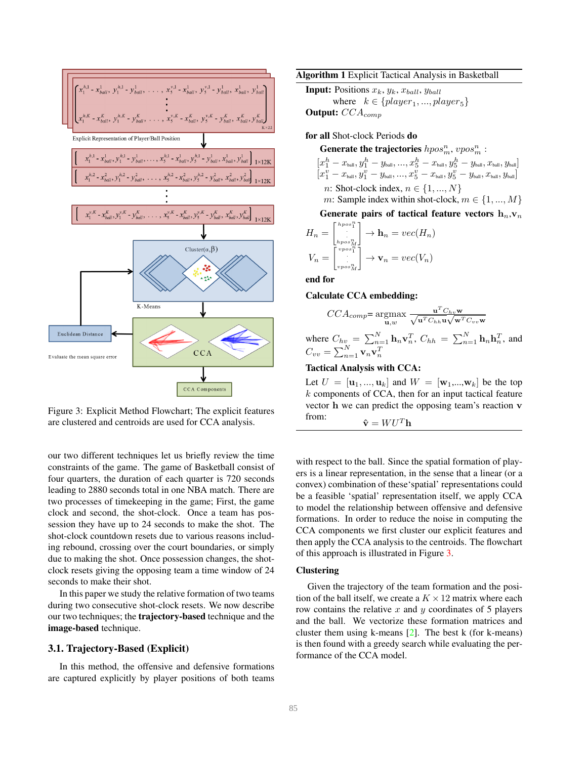<span id="page-2-2"></span><span id="page-2-0"></span>

Figure 3: Explicit Method Flowchart; The explicit features are clustered and centroids are used for CCA analysis.

our two different techniques let us briefly review the time constraints of the game. The game of Basketball consist of four quarters, the duration of each quarter is 720 seconds leading to 2880 seconds total in one NBA match. There are two processes of timekeeping in the game; First, the game clock and second, the shot-clock. Once a team has possession they have up to 24 seconds to make the shot. The shot-clock countdown resets due to various reasons including rebound, crossing over the court boundaries, or simply due to making the shot. Once possession changes, the shotclock resets giving the opposing team a time window of 24 seconds to make their shot.

In this paper we study the relative formation of two teams during two consecutive shot-clock resets. We now describe our two techniques; the trajectory-based technique and the image-based technique.

## 3.1. Trajectory-Based (Explicit)

In this method, the offensive and defensive formations are captured explicitly by player positions of both teams

<span id="page-2-1"></span>Algorithm 1 Explicit Tactical Analysis in Basketball

**Input:** Positions  $x_k$ ,  $y_k$ ,  $x_{ball}$ ,  $y_{ball}$ 

where  $k \in \{player_1, ..., player_5\}$ Output:  $CCA_{comp}$ 

for all Shot-clock Periods do

Generate the trajectories  $hpos_m^n, vpos_m^n$ :

$$
\begin{aligned}[x_{1}^{h}-x_{\text{ball}},y_{1}^{h}-y_{\text{ball}},...,x_{5}^{h}-x_{\text{ball}},y_{5}^{h}-y_{\text{ball}},x_{\text{ball}},y_{\text{ball}}] \\ [x_{1}^{v}-x_{\text{ball}},y_{1}^{v}-y_{\text{ball}},...,x_{5}^{v}-x_{\text{ball}},y_{5}^{v}-y_{\text{ball}},x_{\text{ball}},y_{\text{ball}}] \\ n: \text{ Shot-clock index},\,n\in\{1,...,N\}\end{aligned}
$$

m: Sample index within shot-clock,  $m \in \{1, ..., M\}$ 

Generate pairs of tactical feature vectors  $h_n,v_n$ 

$$
H_n = \begin{bmatrix} \binom{hpos_1^n}{\cdot} \\ \vdots \\ \binom{hpos_M^n}{\cdot} \end{bmatrix} \to \mathbf{h}_n = vec(H_n)
$$
  

$$
V_n = \begin{bmatrix} \binom{vpos_1^n}{\cdot} \\ \vdots \\ \binom{vpos_M^n}{\cdot} \end{bmatrix} \to \mathbf{v}_n = vec(V_n)
$$

end for

#### Calculate CCA embedding:

$$
CCA_{comp} = \underset{\mathbf{u},w}{\text{argmax}} \frac{\mathbf{u}^T C_{hv} \mathbf{w}}{\sqrt{\mathbf{u}^T C_{hh} \mathbf{u}} \sqrt{\mathbf{w}^T C_{vv} \mathbf{w}}}
$$

where  $C_{hv} = \sum_{n=1}^{N} \mathbf{h}_n \mathbf{v}_n^T$ ,  $C_{hh} = \sum_{n=1}^{N} \mathbf{h}_n \mathbf{h}_n^T$ , and  $C_{vv} = \sum_{n=1}^{N} \mathbf{v}_n \mathbf{v}_n^T$ 

#### Tactical Analysis with CCA:

Let  $U = [\mathbf{u}_1, ..., \mathbf{u}_k]$  and  $W = [\mathbf{w}_1, ..., \mathbf{w}_k]$  be the top  $k$  components of CCA, then for an input tactical feature vector h we can predict the opposing team's reaction v from:  $\hat{\mathbf{v}} = W U^T \mathbf{h}$ 

with respect to the ball. Since the spatial formation of players is a linear representation, in the sense that a linear (or a convex) combination of these'spatial' representations could be a feasible 'spatial' representation itself, we apply CCA to model the relationship between offensive and defensive formations. In order to reduce the noise in computing the CCA components we first cluster our explicit features and then apply the CCA analysis to the centroids. The flowchart of this approach is illustrated in Figure [3.](#page-2-0)

#### Clustering

Given the trajectory of the team formation and the position of the ball itself, we create a  $K \times 12$  matrix where each row contains the relative  $x$  and  $y$  coordinates of 5 players and the ball. We vectorize these formation matrices and cluster them using k-means  $[2]$ . The best k (for k-means) is then found with a greedy search while evaluating the performance of the CCA model.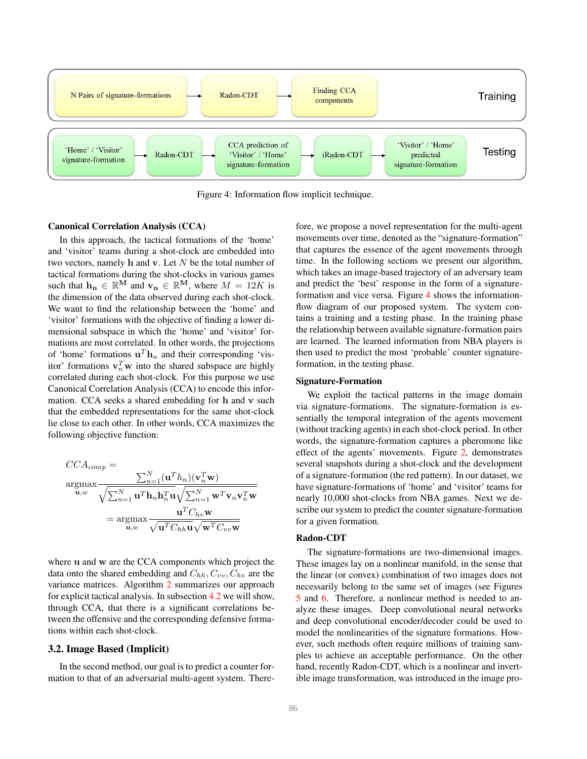<span id="page-3-0"></span>

Figure 4: Information flow implicit technique.

#### Canonical Correlation Analysis (CCA)

In this approach, the tactical formations of the 'home' and 'visitor' teams during a shot-clock are embedded into two vectors, namely  $h$  and  $v$ . Let  $N$  be the total number of tactical formations during the shot-clocks in various games such that  $\mathbf{h}_{n} \in \mathbb{R}^{M}$  and  $\mathbf{v}_{n} \in \mathbb{R}^{M}$ , where  $M = 12K$  is the dimension of the data observed during each shot-clock. We want to find the relationship between the 'home' and 'visitor' formations with the objective of finding a lower dimensional subspace in which the 'home' and 'visitor' formations are most correlated. In other words, the projections of 'home' formations  $\mathbf{u}^T \mathbf{h}_n$  and their corresponding 'visitor' formations  $v_n^T w$  into the shared subspace are highly correlated during each shot-clock. For this purpose we use Canonical Correlation Analysis (CCA) to encode this information. CCA seeks a shared embedding for h and v such that the embedded representations for the same shot-clock lie close to each other. In other words, CCA maximizes the following objective function:

$$
CCA_{comp} = \frac{\sum_{n=1}^{N} (\mathbf{u}^{T}h_{n})(\mathbf{v}_{n}^{T}\mathbf{w})}{\sqrt{\sum_{n=1}^{N} \mathbf{u}^{T}\mathbf{h}_{n}\mathbf{h}_{n}^{T}\mathbf{u}}\sqrt{\sum_{n=1}^{N} \mathbf{w}^{T}\mathbf{v}_{n}\mathbf{v}_{n}^{T}\mathbf{w}}}
$$

$$
= \underset{\mathbf{u},w}{\operatorname{argmax}} \frac{\mathbf{u}^{T}C_{hv}\mathbf{w}}{\sqrt{\mathbf{u}^{T}C_{hh}\mathbf{u}}\sqrt{\mathbf{w}^{T}C_{vv}\mathbf{w}}}
$$

where u and w are the CCA components which project the data onto the shared embedding and  $C_{hh}$ ,  $C_{vv}$ ,  $C_{hv}$  are the variance matrices. Algorithm [2](#page-2-1) summarizes our approach for explicit tactical analysis. In subsection [4.2](#page-5-0) we will show, through CCA, that there is a significant correlations between the offensive and the corresponding defensive formations within each shot-clock.

#### 3.2. Image Based (Implicit)

In the second method, our goal is to predict a counter formation to that of an adversarial multi-agent system. Therefore, we propose a novel representation for the multi-agent movements over time, denoted as the "signature-formation" that captures the essence of the agent movements through time. In the following sections we present our algorithm, which takes an image-based trajectory of an adversary team and predict the 'best' response in the form of a signatureformation and vice versa. Figure [4](#page-3-0) shows the informationflow diagram of our proposed system. The system contains a training and a testing phase. In the training phase the relationship between available signature-formation pairs are learned. The learned information from NBA players is then used to predict the most 'probable' counter signatureformation, in the testing phase.

#### Signature-Formation

We exploit the tactical patterns in the image domain via signature-formations. The signature-formation is essentially the temporal integration of the agents movement (without tracking agents) in each shot-clock period. In other words, the signature-formation captures a pheromone like effect of the agents' movements. Figure [2,](#page-1-0) demonstrates several snapshots during a shot-clock and the development of a signature-formation (the red pattern). In our dataset, we have signature-formations of 'home' and 'visitor' teams for nearly 10,000 shot-clocks from NBA games. Next we describe our system to predict the counter signature-formation for a given formation.

#### Radon-CDT

The signature-formations are two-dimensional images. These images lay on a nonlinear manifold, in the sense that the linear (or convex) combination of two images does not necessarily belong to the same set of images (see Figures [5](#page-4-0) and [6.](#page-4-1) Therefore, a nonlinear method is needed to analyze these images. Deep convolutional neural networks and deep convolutional encoder/decoder could be used to model the nonlinearities of the signature formations. However, such methods often require millions of training samples to achieve an acceptable performance. On the other hand, recently Radon-CDT, which is a nonlinear and invertible image transformation, was introduced in the image pro-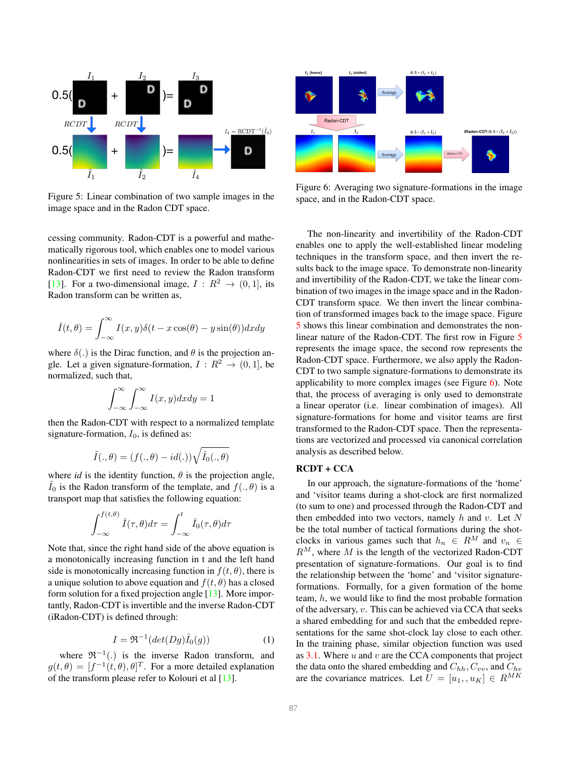<span id="page-4-3"></span><span id="page-4-0"></span>

Figure 5: Linear combination of two sample images in the image space and in the Radon CDT space.

cessing community. Radon-CDT is a powerful and mathematically rigorous tool, which enables one to model various nonlinearities in sets of images. In order to be able to define Radon-CDT we first need to review the Radon transform [\[13\]](#page-7-20). For a two-dimensional image,  $I: \mathbb{R}^2 \to (0, 1]$ , its Radon transform can be written as,

$$
\hat{I}(t,\theta) = \int_{-\infty}^{\infty} I(x,y)\delta(t - x\cos(\theta) - y\sin(\theta))dxdy
$$

where  $\delta(.)$  is the Dirac function, and  $\theta$  is the projection angle. Let a given signature-formation,  $I: \mathbb{R}^2 \to (0, 1]$ , be normalized, such that,

$$
\int_{-\infty}^{\infty} \int_{-\infty}^{\infty} I(x, y) dx dy = 1
$$

then the Radon-CDT with respect to a normalized template signature-formation,  $I_0$ , is defined as:

$$
\tilde{I}(.,\theta) = (f(.,\theta) - id(.))\sqrt{\hat{I}_0(.,\theta)}
$$

where *id* is the identity function,  $\theta$  is the projection angle,  $I_0$  is the Radon transform of the template, and  $f(.,\theta)$  is a transport map that satisfies the following equation:

$$
\int_{-\infty}^{f(t,\theta)} \hat{I}(\tau,\theta)d\tau = \int_{-\infty}^{t} \hat{I}_0(\tau,\theta)d\tau
$$

Note that, since the right hand side of the above equation is a monotonically increasing function in t and the left hand side is monotonically increasing function in  $f(t, \theta)$ , there is a unique solution to above equation and  $f(t, \theta)$  has a closed form solution for a fixed projection angle [\[13\]](#page-7-20). More importantly, Radon-CDT is invertible and the inverse Radon-CDT (iRadon-CDT) is defined through:

<span id="page-4-2"></span>
$$
I = \Re^{-1}(det(Dg)\hat{I}_0(g))
$$
 (1)

where  $\mathfrak{R}^{-1}(.)$  is the inverse Radon transform, and  $g(t,\theta) = [f^{-1}(t,\theta), \theta]^T$ . For a more detailed explanation of the transform please refer to Kolouri et al  $[13]$ .

<span id="page-4-1"></span>

Figure 6: Averaging two signature-formations in the image space, and in the Radon-CDT space.

The non-linearity and invertibility of the Radon-CDT enables one to apply the well-established linear modeling techniques in the transform space, and then invert the results back to the image space. To demonstrate non-linearity and invertibility of the Radon-CDT, we take the linear combination of two images in the image space and in the Radon-CDT transform space. We then invert the linear combination of transformed images back to the image space. Figure [5](#page-4-0) shows this linear combination and demonstrates the nonlinear nature of the Radon-CDT. The first row in Figure [5](#page-4-0) represents the image space, the second row represents the Radon-CDT space. Furthermore, we also apply the Radon-CDT to two sample signature-formations to demonstrate its applicability to more complex images (see Figure  $6$ ). Note that, the process of averaging is only used to demonstrate a linear operator (i.e. linear combination of images). All signature-formations for home and visitor teams are first transformed to the Radon-CDT space. Then the representations are vectorized and processed via canonical correlation analysis as described below.

## RCDT + CCA

In our approach, the signature-formations of the 'home' and 'visitor teams during a shot-clock are first normalized (to sum to one) and processed through the Radon-CDT and then embedded into two vectors, namely  $h$  and  $v$ . Let  $N$ be the total number of tactical formations during the shotclocks in various games such that  $h_n \in R^M$  and  $v_n \in$  $R^M$ , where M is the length of the vectorized Radon-CDT presentation of signature-formations. Our goal is to find the relationship between the 'home' and 'visitor signatureformations. Formally, for a given formation of the home team, h, we would like to find the most probable formation of the adversary, v. This can be achieved via CCA that seeks a shared embedding for and such that the embedded representations for the same shot-clock lay close to each other. In the training phase, similar objection function was used as  $3.1$ . Where u and v are the CCA components that project the data onto the shared embedding and  $C_{hh}$ ,  $C_{vv}$ , and  $C_{hv}$ are the covariance matrices. Let  $U = [u_1, u_K] \in R^{MK}$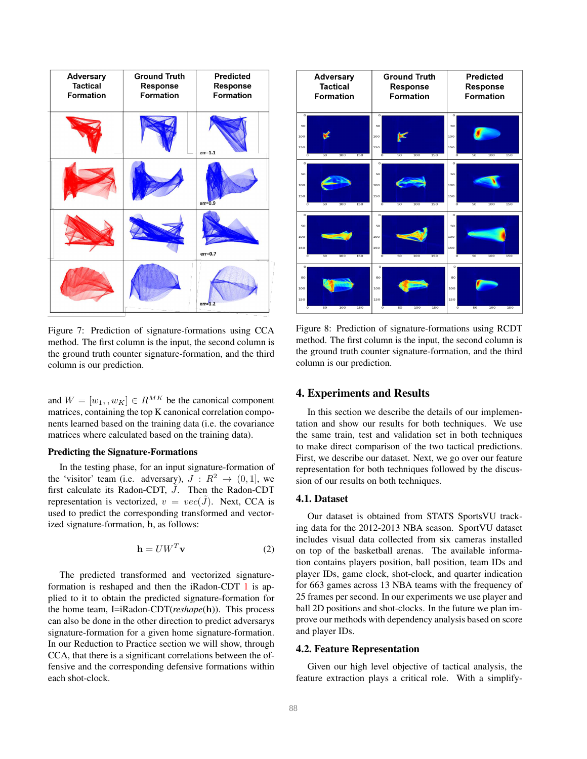<span id="page-5-1"></span>

Figure 7: Prediction of signature-formations using CCA method. The first column is the input, the second column is the ground truth counter signature-formation, and the third column is our prediction.

and  $W = [w_1, w_K] \in R^{MK}$  be the canonical component matrices, containing the top K canonical correlation components learned based on the training data (i.e. the covariance matrices where calculated based on the training data).

### Predicting the Signature-Formations

In the testing phase, for an input signature-formation of the 'visitor' team (i.e. adversary),  $J: \mathbb{R}^2 \to (0, 1]$ , we first calculate its Radon-CDT,  $\tilde{J}$ . Then the Radon-CDT representation is vectorized,  $v = vec(\tilde{J})$ . Next, CCA is used to predict the corresponding transformed and vectorized signature-formation, h, as follows:

$$
\mathbf{h} = U W^T \mathbf{v} \tag{2}
$$

The predicted transformed and vectorized signatureformation is reshaped and then the iRadon-CDT [1](#page-4-2) is applied to it to obtain the predicted signature-formation for the home team, I=iRadon-CDT(*reshape*(h)). This process can also be done in the other direction to predict adversarys signature-formation for a given home signature-formation. In our Reduction to Practice section we will show, through CCA, that there is a significant correlations between the offensive and the corresponding defensive formations within each shot-clock.

<span id="page-5-2"></span>

Figure 8: Prediction of signature-formations using RCDT method. The first column is the input, the second column is the ground truth counter signature-formation, and the third column is our prediction.

### 4. Experiments and Results

In this section we describe the details of our implementation and show our results for both techniques. We use the same train, test and validation set in both techniques to make direct comparison of the two tactical predictions. First, we describe our dataset. Next, we go over our feature representation for both techniques followed by the discussion of our results on both techniques.

### 4.1. Dataset

Our dataset is obtained from STATS SportsVU tracking data for the 2012-2013 NBA season. SportVU dataset includes visual data collected from six cameras installed on top of the basketball arenas. The available information contains players position, ball position, team IDs and player IDs, game clock, shot-clock, and quarter indication for 663 games across 13 NBA teams with the frequency of 25 frames per second. In our experiments we use player and ball 2D positions and shot-clocks. In the future we plan improve our methods with dependency analysis based on score and player IDs.

#### <span id="page-5-0"></span>4.2. Feature Representation

Given our high level objective of tactical analysis, the feature extraction plays a critical role. With a simplify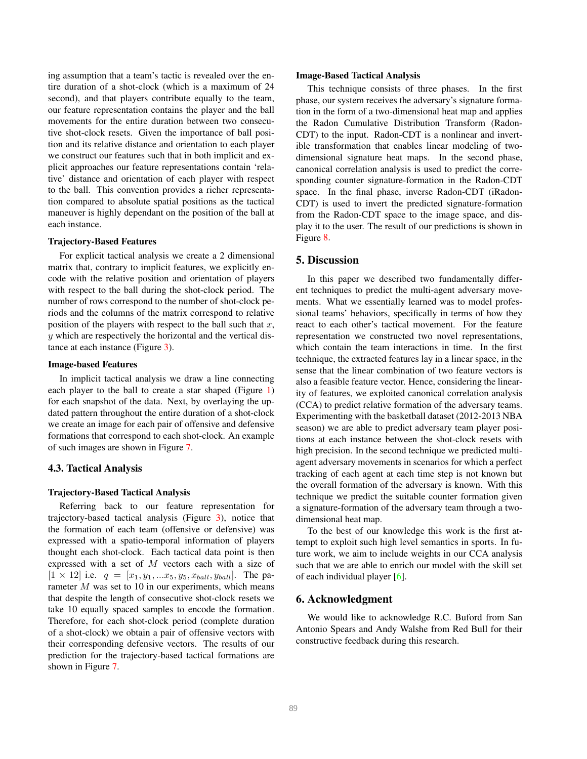<span id="page-6-0"></span>ing assumption that a team's tactic is revealed over the entire duration of a shot-clock (which is a maximum of 24 second), and that players contribute equally to the team, our feature representation contains the player and the ball movements for the entire duration between two consecutive shot-clock resets. Given the importance of ball position and its relative distance and orientation to each player we construct our features such that in both implicit and explicit approaches our feature representations contain 'relative' distance and orientation of each player with respect to the ball. This convention provides a richer representation compared to absolute spatial positions as the tactical maneuver is highly dependant on the position of the ball at each instance.

#### Trajectory-Based Features

For explicit tactical analysis we create a 2 dimensional matrix that, contrary to implicit features, we explicitly encode with the relative position and orientation of players with respect to the ball during the shot-clock period. The number of rows correspond to the number of shot-clock periods and the columns of the matrix correspond to relative position of the players with respect to the ball such that  $x$ , y which are respectively the horizontal and the vertical distance at each instance (Figure [3\)](#page-2-0).

#### Image-based Features

In implicit tactical analysis we draw a line connecting each player to the ball to create a star shaped (Figure [1\)](#page-0-0) for each snapshot of the data. Next, by overlaying the updated pattern throughout the entire duration of a shot-clock we create an image for each pair of offensive and defensive formations that correspond to each shot-clock. An example of such images are shown in Figure [7.](#page-5-1)

## 4.3. Tactical Analysis

#### Trajectory-Based Tactical Analysis

Referring back to our feature representation for trajectory-based tactical analysis (Figure [3\)](#page-2-0), notice that the formation of each team (offensive or defensive) was expressed with a spatio-temporal information of players thought each shot-clock. Each tactical data point is then expressed with a set of M vectors each with a size of  $[1 \times 12]$  i.e.  $q = [x_1, y_1, ... x_5, y_5, x_{ball}, y_{ball}]$ . The parameter M was set to 10 in our experiments, which means that despite the length of consecutive shot-clock resets we take 10 equally spaced samples to encode the formation. Therefore, for each shot-clock period (complete duration of a shot-clock) we obtain a pair of offensive vectors with their corresponding defensive vectors. The results of our prediction for the trajectory-based tactical formations are shown in Figure [7.](#page-5-1)

#### Image-Based Tactical Analysis

This technique consists of three phases. In the first phase, our system receives the adversary's signature formation in the form of a two-dimensional heat map and applies the Radon Cumulative Distribution Transform (Radon-CDT) to the input. Radon-CDT is a nonlinear and invertible transformation that enables linear modeling of twodimensional signature heat maps. In the second phase, canonical correlation analysis is used to predict the corresponding counter signature-formation in the Radon-CDT space. In the final phase, inverse Radon-CDT (iRadon-CDT) is used to invert the predicted signature-formation from the Radon-CDT space to the image space, and display it to the user. The result of our predictions is shown in Figure [8.](#page-5-2)

### 5. Discussion

In this paper we described two fundamentally different techniques to predict the multi-agent adversary movements. What we essentially learned was to model professional teams' behaviors, specifically in terms of how they react to each other's tactical movement. For the feature representation we constructed two novel representations, which contain the team interactions in time. In the first technique, the extracted features lay in a linear space, in the sense that the linear combination of two feature vectors is also a feasible feature vector. Hence, considering the linearity of features, we exploited canonical correlation analysis (CCA) to predict relative formation of the adversary teams. Experimenting with the basketball dataset (2012-2013 NBA season) we are able to predict adversary team player positions at each instance between the shot-clock resets with high precision. In the second technique we predicted multiagent adversary movements in scenarios for which a perfect tracking of each agent at each time step is not known but the overall formation of the adversary is known. With this technique we predict the suitable counter formation given a signature-formation of the adversary team through a twodimensional heat map.

To the best of our knowledge this work is the first attempt to exploit such high level semantics in sports. In future work, we aim to include weights in our CCA analysis such that we are able to enrich our model with the skill set of each individual player [\[6\]](#page-7-21).

#### 6. Acknowledgment

We would like to acknowledge R.C. Buford from San Antonio Spears and Andy Walshe from Red Bull for their constructive feedback during this research.